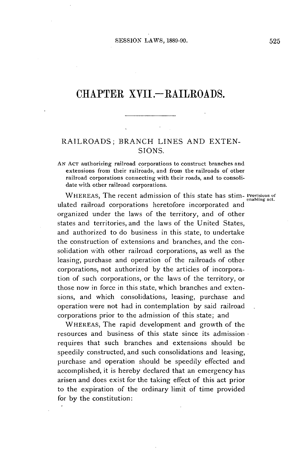# CHAPTER XVII.-RAILROADS.

### RAILROADS; BRANCH **LINES AND EXTEN-SIONS.**

**AN AcT** authorizing railroad corporations to construct branches and extensions from their railroads, and from the railroads of other railroad corporations connecting with their roads, and to consolidate with other railroad corporations.

WHEREAS, The recent admission of this state has stim-**Provisions of enabling** act. ulated railroad corporations heretofore incorporated and organized under the laws of the territory, and of other states and territories, and the laws of the United States, and authorized to do business in this state, to undertake the construction of extensions and branches, and the consolidation with other railroad corporations, as well as the leasing, purchase and operation of the railroads of other corporations, not authorized **by** the articles of incorporation of such corporations, or the laws of the territory, or those now in force in this state, which branches and extensions, and which consolidations, leasing, purchase and operation were not had in contemplation **by** said railroad corporations prior to the admission of this state; and

WHEREAS, The rapid development and growth of the resources and business of this state since its admission requires that such branches and extensions should be speedily constructed, and such consolidations and leasing, purchase and operation should be speedily effected and accomplished, it is hereby declared that an emergency has arisen and does exist for the taking effect of this act prior to the expiration of the ordinary limit of time provided for **by** the constitution: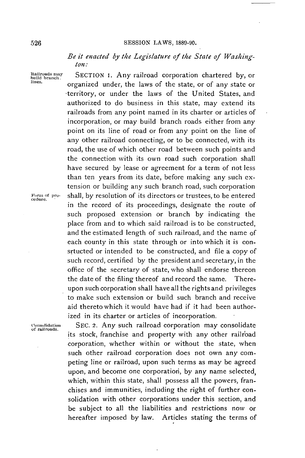#### **SESSION** LAWS, **1889-90.**

### *Be it enacted by the Legislature of the State of Washington:*

Railroads may **SECTION I.** Any railroad corporation chartered by, or **build branch. organized under**, the laws of the state, or of any state or -territory, or under the laws of the United States, and authorized to do business in this state, may extend its railroads from any point named in its charter or articles of incorporation, or may build branch roads either from any point on its line of road or from any point on the line of any other railroad connecting, or to be connected, with its road, the use of which other road between such points and the connection with its own road such corporation shall have secured **by** lease or agreement for a term of not less than ten years from its date, before making any such extension or building any such branch road, such corporation .Forn **of pro-** shall, **by** resolution of its directors or trustees, to be entered **cedure.** in the record of its proceedings, designate the route of such proposed extension or branch **by** indicating the place from and to which said railroad is to be constructed, and the estimated length of such railroad, and the name of each county in this state through or into which it is consrtucted or intended to be constructed, and file a copy of such record, certified **by** the president and.secretary, in the office of the secretary of state, who shall endorse thereon the date of the filing thereof and record the same. Thereupon such corporation shall have all the rights and privileges to make such extension or build such branch and receive aid thereto which it would have had if it had been authorized in its charter or articles of incorporation.

**Consolidation SEC.** 2. Any such railroad corporation may consolidate **of railroads.** its stock, franchise and property with any other railroad corporation, whether within or without the state, when such other railroad corporation does not own any competing line or railroad, upon such terms as may be agreed upon, and become one corporation, **by** any name selected, which, within this state, shall possess all the powers, franchises and immunities, including the right of further consolidation with other corporations under this section, and be subject to all the liabilities and restrictions now or hereafter imposed **by** law. Articles stating the terms of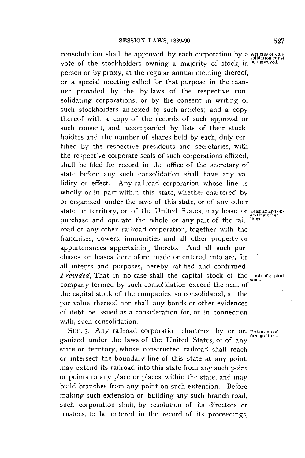consolidation shall be approved **by** each corporation **by** a **Articles of con- solidation must** vote of the stockholders owning a majority of stock, in **be approved.** person or **by** proxy, at the regular annual meeting thereof, or a special meeting called for that purpose in the manner provided **by** the by-laws of the respective consolidating corporations, or **by** the consent in writing of such stockholders annexed to such articles; and a copy thereof, with a copy of the records of such approval or such consent, and accompanied **by** lists of their stockholders and the number of shares **held by** each, duly certified **by** the respective presidents and secretaries, with the respective corporate seals of such corporations affixed, shall be filed for record in the office of the secretary of state before any such consolidation shall have any validity or effect. Any railroad corporation whose line is wholly or in part within this state, whether chartered **by** or organized under the laws of this state, or of any other state or territory, or of the United States, may lease or Leasing and oppurchase and operate the whole or any part of the rail- **lines.** road of any other railroad corporation, together with the franchises, powers, immunities and all other property or appurtenances appertaining thereto. And all such purchases or leases heretofore made or entered into are, for all intents and purposes, hereby ratified and confirmed: *Provided,* That in no case shall the capital stock of the **Iimit or capital stock.** company formed **by** such consolidation exceed the sum **of** the capital stock of the companies so consolidated, at the par value thereof, nor shall any bonds or other evidences of debt be issued as a consideration for, or in connection with, such consolidation.

SEC. 3. Any railroad corporation chartered by or or- **Extension** of ganized under the laws of the United States, or of any state or territory, whose constructed railroad shall reach or intersect the boundary line of this state at any point, may extend its railroad into this state from any such point or points to any place or places within the state, and may build branches from any point on such extension. Before making such extension or building any such branch road, such corporation shall, **by** resolution of its directors or trustees, to **be** entered in the record of its proceedings,

rating other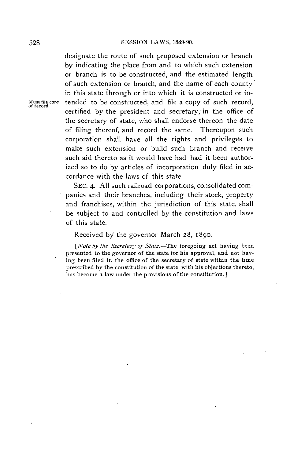designate the route of such proposed extension or branch **by** indicating the place from and to which such extension or branch is to be constructed, and the estimated length of such extension or branch, and the name of each county in this state through or into which it is constructed or in-Must file copy tended to be constructed, and file a copy of such record, of record. certified **by** the president and secretary, in the office of the secretary of state, who shall endorse thereon the date of filing thereof, and record the same. Thereupon such corporation shall have all the rights and privileges to make such extension or build such branch and receive such aid thereto as it would have had had it been authorized so to do **by** articles of incorporation duly filed in accordance with the laws of this state.

> **SEC.** 4. **All** such railroad corporations, consolidated companies and their branches, including their stock, property and franchises, within the jurisdiction of this state, shall **be** subject to and controlled **by** the constitution and laws of this state.

Received **by** the governor March **28,** 1890.

[Note **by** the *Secretary of State.-The* foregoing act having been presented to the governor of the state for his approval, and not *having* been filed in the office of the secretary of state within the time prescribed **by** the constitution of the state, with his objections thereto, has become a law under the provisions of the constitution.]